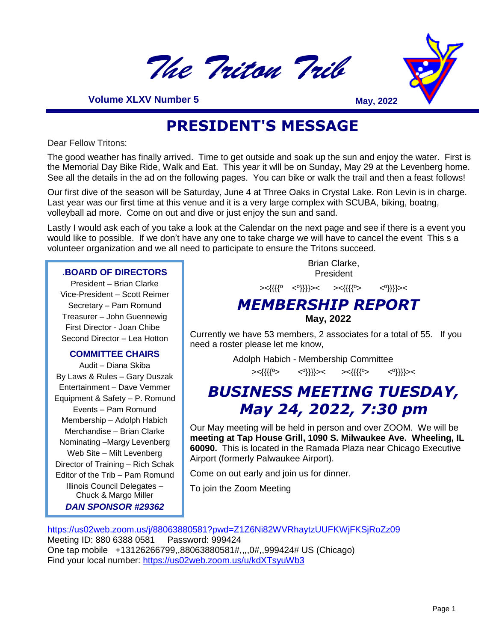



**3 Volume XLXV Number 5**

**May, 2022**

# **PRESIDENT'S MESSAGE**

Dear Fellow Tritons:

The good weather has finally arrived. Time to get outside and soak up the sun and enjoy the water. First is the Memorial Day Bike Ride, Walk and Eat. This year it wlll be on Sunday, May 29 at the Levenberg home. See all the details in the ad on the following pages. You can bike or walk the trail and then a feast follows!

Our first dive of the season will be Saturday, June 4 at Three Oaks in Crystal Lake. Ron Levin is in charge. Last year was our first time at this venue and it is a very large complex with SCUBA, biking, boatng, volleyball ad more. Come on out and dive or just enjoy the sun and sand.

Lastly I would ask each of you take a look at the Calendar on the next page and see if there is a event you would like to possible. If we don't have any one to take charge we will have to cancel the event This s a volunteer organization and we all need to participate to ensure the Tritons succeed.

#### **.BOARD OF DIRECTORS**

President – Brian Clarke Vice-President – Scott Reimer Secretary – Pam Romund Treasurer – John Guennewig First Director - Joan Chibe Second Director – Lea Hotton

#### **COMMITTEE CHAIRS**

Audit – Diana Skiba By Laws & Rules – Gary Duszak Entertainment – Dave Vemmer Equipment & Safety – P. Romund Events – Pam Romund Membership – Adolph Habich Merchandise – Brian Clarke Nominating –Margy Levenberg Web Site – Milt Levenberg Director of Training – Rich Schak Editor of the Trib – Pam Romund Illinois Council Delegates – Chuck & Margo Miller *DAN SPONSOR #29362*

Brian Clarke, President

><{{{{<sup>0</sup> < 0}}}}>< ><{{{{<sup>0</sup>> < 0}}}}><

### *MEMBERSHIP REPORT* **May, 2022**

Currently we have 53 members, 2 associates for a total of 55. If you need a roster please let me know,

Adolph Habich - Membership Committee

><{{{{º> <º}}}}>< ><{{{{º> <º}}}}><

# *BUSINESS MEETING TUESDAY, May 24, 2022, 7:30 pm*

Our May meeting will be held in person and over ZOOM. We will be **meeting at Tap House Grill, 1090 S. Milwaukee Ave. Wheeling, IL 60090.** This is located in the Ramada Plaza near Chicago Executive Airport (formerly Palwaukee Airport).

Come on out early and join us for dinner.

To join the Zoom Meeting

<https://us02web.zoom.us/j/88063880581?pwd=Z1Z6Ni82WVRhaytzUUFKWjFKSjRoZz09> Meeting ID: 880 6388 0581 Password: 999424 One tap mobile +13126266799,,88063880581#,,,,0#,,999424# US (Chicago) Find your local number:<https://us02web.zoom.us/u/kdXTsyuWb3>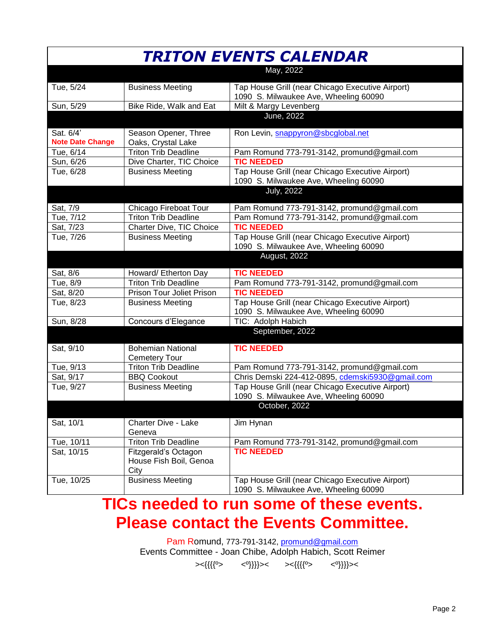| TRITON EVENTS CALENDAR  |                                                  |                                                                                           |
|-------------------------|--------------------------------------------------|-------------------------------------------------------------------------------------------|
|                         |                                                  | May, 2022                                                                                 |
| Tue, 5/24               | <b>Business Meeting</b>                          | Tap House Grill (near Chicago Executive Airport)<br>1090 S. Milwaukee Ave, Wheeling 60090 |
| Sun, 5/29               | Bike Ride, Walk and Eat                          | Milt & Margy Levenberg                                                                    |
|                         |                                                  | June, 2022                                                                                |
| Sat. 6/4'               |                                                  |                                                                                           |
| <b>Note Date Change</b> | Season Opener, Three<br>Oaks, Crystal Lake       | Ron Levin, snappyron@sbcglobal.net                                                        |
| Tue, 6/14               | <b>Triton Trib Deadline</b>                      | Pam Romund 773-791-3142, promund@gmail.com                                                |
| Sun, 6/26               | Dive Charter, TIC Choice                         | <b>TIC NEEDED</b>                                                                         |
| Tue, 6/28               | <b>Business Meeting</b>                          | Tap House Grill (near Chicago Executive Airport)                                          |
|                         |                                                  | 1090 S. Milwaukee Ave, Wheeling 60090                                                     |
|                         |                                                  | <b>July, 2022</b>                                                                         |
| Sat, 7/9                | Chicago Fireboat Tour                            | Pam Romund 773-791-3142, promund@gmail.com                                                |
| Tue, 7/12               | <b>Triton Trib Deadline</b>                      | Pam Romund 773-791-3142, promund@gmail.com                                                |
| Sat, 7/23               | Charter Dive, TIC Choice                         | <b>TIC NEEDED</b>                                                                         |
| Tue, 7/26               | <b>Business Meeting</b>                          | Tap House Grill (near Chicago Executive Airport)                                          |
|                         |                                                  | 1090 S. Milwaukee Ave, Wheeling 60090                                                     |
|                         |                                                  | August, 2022                                                                              |
| Sat, 8/6                | Howard/ Etherton Day                             | <b>TIC NEEDED</b>                                                                         |
| Tue, 8/9                | <b>Triton Trib Deadline</b>                      | Pam Romund 773-791-3142, promund@gmail.com                                                |
| Sat, 8/20               | Prison Tour Joliet Prison                        | <b>TIC NEEDED</b>                                                                         |
| Tue, 8/23               | <b>Business Meeting</b>                          | Tap House Grill (near Chicago Executive Airport)                                          |
|                         |                                                  | 1090 S. Milwaukee Ave, Wheeling 60090                                                     |
| Sun, 8/28               | Concours d'Elegance                              | TIC: Adolph Habich                                                                        |
|                         |                                                  | September, 2022                                                                           |
| Sat, 9/10               | <b>Bohemian National</b><br><b>Cemetery Tour</b> | <b>TIC NEEDED</b>                                                                         |
| Tue, 9/13               | <b>Triton Trib Deadline</b>                      | Pam Romund 773-791-3142, promund@gmail.com                                                |
| Sat, 9/17               | <b>BBQ Cookout</b>                               | Chris Demski 224-412-0895, cdemski5930@gmail.com                                          |
| Tue, 9/27               | <b>Business Meeting</b>                          | Tap House Grill (near Chicago Executive Airport)                                          |
|                         |                                                  | 1090 S. Milwaukee Ave, Wheeling 60090                                                     |
|                         |                                                  | October, 2022                                                                             |
| Sat, 10/1               | Charter Dive - Lake                              | Jim Hynan                                                                                 |
|                         | Geneva                                           |                                                                                           |
| Tue, 10/11              | <b>Triton Trib Deadline</b>                      | Pam Romund 773-791-3142, promund@gmail.com                                                |
| Sat, 10/15              | Fitzgerald's Octagon                             | <b>TIC NEEDED</b>                                                                         |
|                         | House Fish Boil, Genoa                           |                                                                                           |
|                         | City                                             |                                                                                           |
| Tue, 10/25              | <b>Business Meeting</b>                          | Tap House Grill (near Chicago Executive Airport)<br>1090 S. Milwaukee Ave, Wheeling 60090 |

# **TICs needed to run some of these events. Please contact the Events Committee.**

Pam Romund, 773-791-3142, [promund@gmail.com](mailto:promund@gmail.com) Events Committee - Joan Chibe, Adolph Habich, Scott Reimer ><{{{{º> <º}}}}>< ><{{{{º> <º}}}}><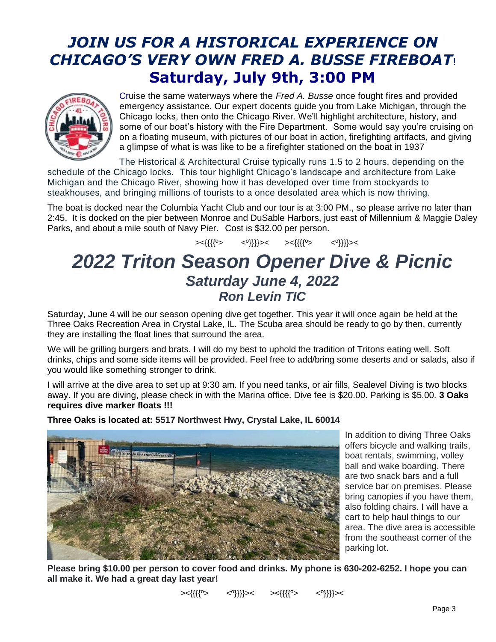# *JOIN US FOR A HISTORICAL EXPERIENCE ON CHICAGO'S VERY OWN FRED A. BUSSE FIREBOAT*! **Saturday, July 9th, 3:00 PM**



Cruise the same waterways where the *Fred A. Busse* once fought fires and provided emergency assistance. Our expert docents guide you from Lake Michigan, through the Chicago locks, then onto the Chicago River. We'll highlight architecture, history, and some of our boat's history with the Fire Department. Some would say you're cruising on on a floating museum, with pictures of our boat in action, firefighting artifacts, and giving a glimpse of what is was like to be a firefighter stationed on the boat in 1937

The Historical & Architectural Cruise typically runs 1.5 to 2 hours, depending on the schedule of the Chicago locks. This tour highlight Chicago's landscape and architecture from Lake Michigan and the Chicago River, showing how it has developed over time from stockyards to steakhouses, and bringing millions of tourists to a once desolated area which is now thriving.

The boat is docked near the Columbia Yacht Club and our tour is at 3:00 PM., so please arrive no later than 2:45. It is docked on the pier between Monroe and DuSable Harbors, just east of Millennium & Maggie Daley Parks, and about a mile south of Navy Pier. Cost is \$32.00 per person.

### ><{{{{º> <º}}}}>< ><{{{{º> <º}}}}>< *2022 Triton Season Opener Dive & Picnic Saturday June 4, 2022 Ron Levin TIC*

Saturday, June 4 will be our season opening dive get together. This year it will once again be held at the Three Oaks Recreation Area in Crystal Lake, IL. The Scuba area should be ready to go by then, currently they are installing the float lines that surround the area.

We will be grilling burgers and brats. I will do my best to uphold the tradition of Tritons eating well. Soft drinks, chips and some side items will be provided. Feel free to add/bring some deserts and or salads, also if you would like something stronger to drink.

I will arrive at the dive area to set up at 9:30 am. If you need tanks, or air fills, Sealevel Diving is two blocks away. If you are diving, please check in with the Marina office. Dive fee is \$20.00. Parking is \$5.00. **3 Oaks requires dive marker floats !!!**



**Three Oaks is located at: 5517 Northwest Hwy, Crystal Lake, IL 60014**

In addition to diving Three Oaks offers bicycle and walking trails, boat rentals, swimming, volley ball and wake boarding. There are two snack bars and a full service bar on premises. Please bring canopies if you have them, also folding chairs. I will have a cart to help haul things to our area. The dive area is accessible from the southeast corner of the parking lot.

**Please bring \$10.00 per person to cover food and drinks. My phone is 630-202-6252. I hope you can all make it. We had a great day last year!**

><{{{{º> <º}}}}>< ><{{{{º> <º}}}}><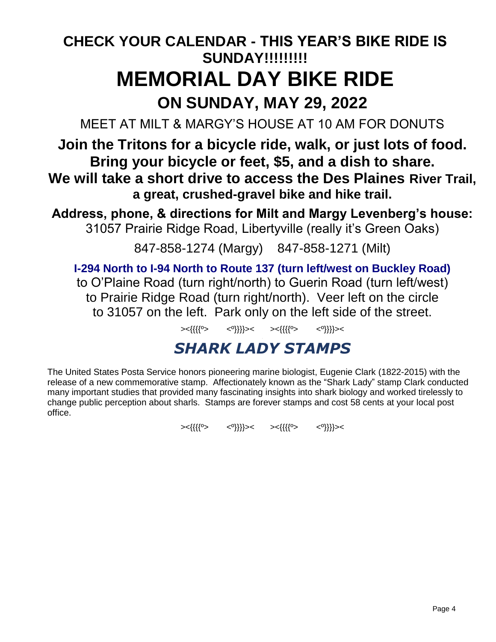# **CHECK YOUR CALENDAR - THIS YEAR'S BIKE RIDE IS SUNDAY!!!!!!!!! MEMORIAL DAY BIKE RIDE ON SUNDAY, MAY 29, 2022**

MEET AT MILT & MARGY'S HOUSE AT 10 AM FOR DONUTS

**Join the Tritons for a bicycle ride, walk, or just lots of food. Bring your bicycle or feet, \$5, and a dish to share. We will take a short drive to access the Des Plaines River Trail, a great, crushed-gravel bike and hike trail.** 

**Address, phone, & directions for Milt and Margy Levenberg's house:** 31057 Prairie Ridge Road, Libertyville (really it's Green Oaks)

847-858-1274 (Margy) 847-858-1271 (Milt)

**I-294 North to I-94 North to Route 137 (turn left/west on Buckley Road)**  to O'Plaine Road (turn right/north) to Guerin Road (turn left/west) to Prairie Ridge Road (turn right/north). Veer left on the circle to 31057 on the left. Park only on the left side of the street.

><{{{{º> <º}}}}>< ><{{{{º> <º}}}}><

## *SHARK LADY STAMPS*

The United States Posta Service honors pioneering marine biologist, Eugenie Clark (1822-2015) with the release of a new commemorative stamp. Affectionately known as the "Shark Lady" stamp Clark conducted many important studies that provided many fascinating insights into shark biology and worked tirelessly to change public perception about sharls. Stamps are forever stamps and cost 58 cents at your local post office.

><{{{{º> <º}}}}>< ><{{{{º> <º}}}}><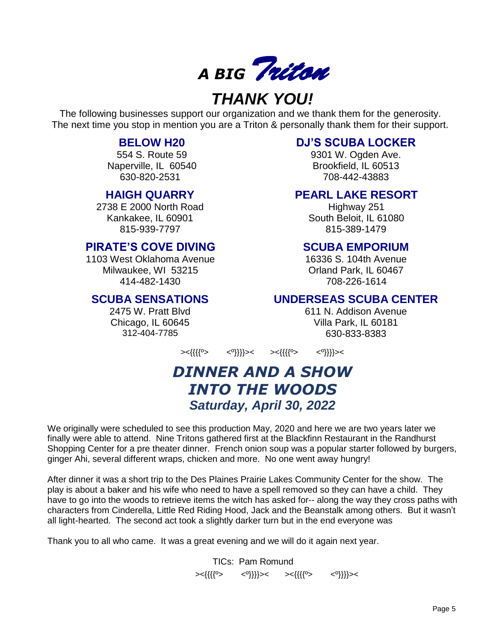

# *THANK YOU!*

The following businesses support our organization and we thank them for the generosity. The next time you stop in mention you are a Triton & personally thank them for their support.

#### **BELOW H20**

554 S. Route 59 Naperville, IL 60540 630-820-2531

### **HAIGH QUARRY**

2738 E 2000 North Road Kankakee, IL 60901 815-939-7797

### **PIRATE'S COVE DIVING**

1103 West Oklahoma Avenue Milwaukee, WI 53215 414-482-1430

### **SCUBA SENSATIONS**

2475 W. Pratt Blvd Chicago, IL 60645 312-404-7785

### **DJ'S SCUBA LOCKER**

9301 W. Ogden Ave. Brookfield, IL 60513 708-442-43883

### **PEARL LAKE RESORT**

Highway 251 South Beloit, IL 61080 815-389-1479

### **SCUBA EMPORIUM**

16336 S. 104th Avenue Orland Park, IL 60467 708-226-1614

### **UNDERSEAS SCUBA CENTER**

611 N. Addison Avenue Villa Park, IL 60181 630-833-8383

><{{{{º> <º}}}}>< ><{{{{º> <º}}}}><

# *DINNER AND A SHOW INTO THE WOODS Saturday, April 30, 2022*

We originally were scheduled to see this production May, 2020 and here we are two years later we finally were able to attend. Nine Tritons gathered first at the Blackfinn Restaurant in the Randhurst Shopping Center for a pre theater dinner. French onion soup was a popular starter followed by burgers, ginger Ahi, several different wraps, chicken and more. No one went away hungry!

After dinner it was a short trip to the Des Plaines Prairie Lakes Community Center for the show. The play is about a baker and his wife who need to have a spell removed so they can have a child. They have to go into the woods to retrieve items the witch has asked for-- along the way they cross paths with characters from Cinderella, Little Red Riding Hood, Jack and the Beanstalk among others. But it wasn't all light-hearted. The second act took a slightly darker turn but in the end everyone was

Thank you to all who came. It was a great evening and we will do it again next year.

TICs: Pam Romund ><{{{{º> <º}}}}>< ><{{{{º> <º}}}}><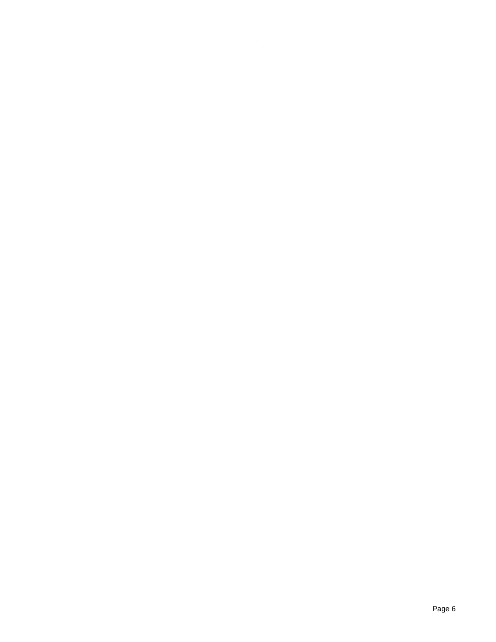Page 6